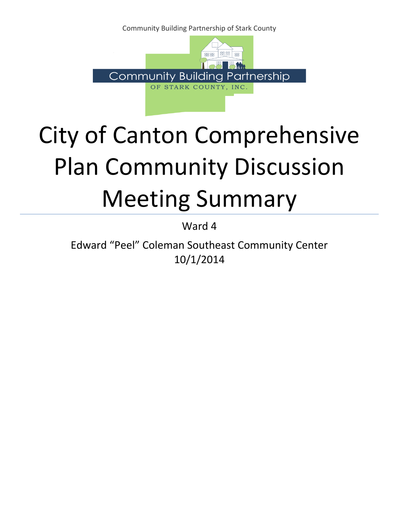Community Building Partnership of Stark County



# City of Canton Comprehensive Plan Community Discussion Meeting Summary

Ward 4

Edward "Peel" Coleman Southeast Community Center 10/1/2014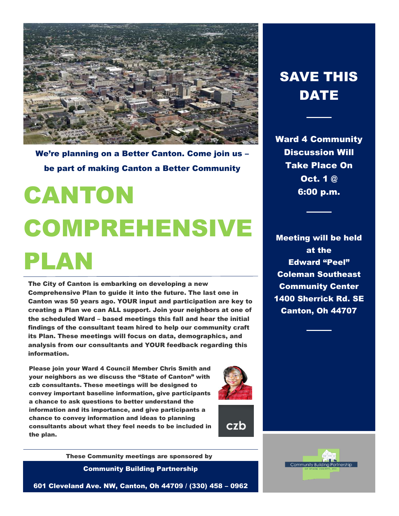

We're planning on a Better Canton. Come join us – be part of making Canton a Better Community

# CANTON COMPREHENSIVE PLAN

The City of Canton is embarking on developing a new Comprehensive Plan to guide it into the future. The last one in Canton was 50 years ago. YOUR input and participation are key to creating a Plan we can ALL support. Join your neighbors at one of the scheduled Ward – based meetings this fall and hear the initial findings of the consultant team hired to help our community craft its Plan. These meetings will focus on data, demographics, and analysis from our consultants and YOUR feedback regarding this information.

Please join your Ward 4 Council Member Chris Smith and your neighbors as we discuss the "State of Canton" with czb consultants. These meetings will be designed to convey important baseline information, give participants a chance to ask questions to better understand the information and its importance, and give participants a chance to convey information and ideas to planning consultants about what they feel needs to be included in the plan.



czb

These Community meetings are sponsored by

Community Building Partnership

601 Cleveland Ave. NW, Canton, Oh 44709 / (330) 458 – 0962

## SAVE THIS DATE

Ward 4 Community Discussion Will Take Place On Oct. 1 @ 6:00 p.m.

Meeting will be held at the Edward "Peel" Coleman Southeast Community Center 1400 Sherrick Rd. SE Canton, Oh 44707

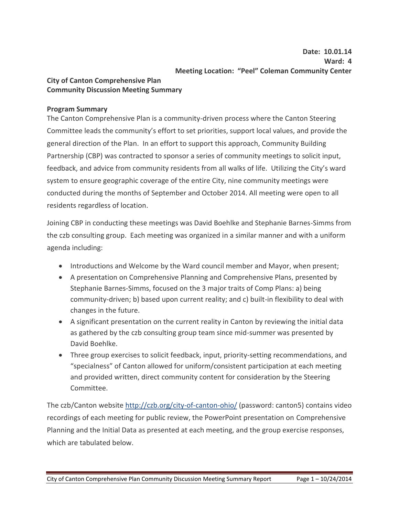#### **City of Canton Comprehensive Plan Community Discussion Meeting Summary**

### **Program Summary**

The Canton Comprehensive Plan is a community-driven process where the Canton Steering Committee leads the community's effort to set priorities, support local values, and provide the general direction of the Plan. In an effort to support this approach, Community Building Partnership (CBP) was contracted to sponsor a series of community meetings to solicit input, feedback, and advice from community residents from all walks of life. Utilizing the City's ward system to ensure geographic coverage of the entire City, nine community meetings were conducted during the months of September and October 2014. All meeting were open to all residents regardless of location.

Joining CBP in conducting these meetings was David Boehlke and Stephanie Barnes-Simms from the czb consulting group. Each meeting was organized in a similar manner and with a uniform agenda including:

- Introductions and Welcome by the Ward council member and Mayor, when present;
- A presentation on Comprehensive Planning and Comprehensive Plans, presented by Stephanie Barnes-Simms, focused on the 3 major traits of Comp Plans: a) being community-driven; b) based upon current reality; and c) built-in flexibility to deal with changes in the future.
- A significant presentation on the current reality in Canton by reviewing the initial data as gathered by the czb consulting group team since mid-summer was presented by David Boehlke.
- Three group exercises to solicit feedback, input, priority-setting recommendations, and "specialness" of Canton allowed for uniform/consistent participation at each meeting and provided written, direct community content for consideration by the Steering Committee.

The czb/Canton website http://czb.org/city-of-canton-ohio/ (password: canton5) contains video recordings of each meeting for public review, the PowerPoint presentation on Comprehensive Planning and the Initial Data as presented at each meeting, and the group exercise responses, which are tabulated below.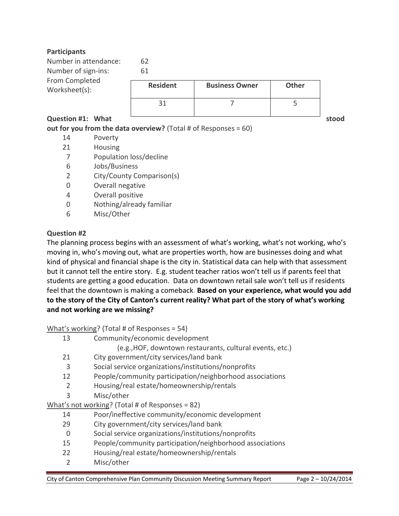#### **Participants**

| Number in attendance:<br>Number of sign-ins: | 62<br>61        |                       |              |       |
|----------------------------------------------|-----------------|-----------------------|--------------|-------|
| From Completed<br>Worksheet(s):              | <b>Resident</b> | <b>Business Owner</b> | <b>Other</b> |       |
|                                              | 31              |                       |              |       |
| Question #1: What                            |                 |                       |              | stood |

### **out for you from the data overview?** (Total # of Responses = 60)

- 14 Poverty
- 21 Housing
- 7 Population loss/decline
- 6 Jobs/Business
- 2 City/County Comparison(s)
- 0 Overall negative
- 4 Overall positive
- 0 Nothing/already familiar
- 6 Misc/Other

#### **Question #2**

The planning process begins with an assessment of what's working, what's not working, who's moving in, who's moving out, what are properties worth, how are businesses doing and what kind of physical and financial shape is the city in. Statistical data can help with that assessment but it cannot tell the entire story. E.g. student teacher ratios won't tell us if parents feel that students are getting a good education. Data on downtown retail sale won't tell us if residents feel that the downtown is making a comeback. **Based on your experience, what would you add to the story of the City of Canton's current reality? What part of the story of what's working and not working are we missing?** 

What's working? (Total # of Responses = 54)

- 13 Community/economic development
	- (e.g.,HOF, downtown restaurants, cultural events, etc.)
- 21 City government/city services/land bank
- 3 Social service organizations/institutions/nonprofits
- 12 People/community participation/neighborhood associations
- 2 Housing/real estate/homeownership/rentals
- 3 Misc/other

What's not working? (Total # of Responses = 82)

- 14 Poor/ineffective community/economic development
- 29 City government/city services/land bank
- 0 Social service organizations/institutions/nonprofits
- 15 People/community participation/neighborhood associations
- 22 Housing/real estate/homeownership/rentals
- 2 Misc/other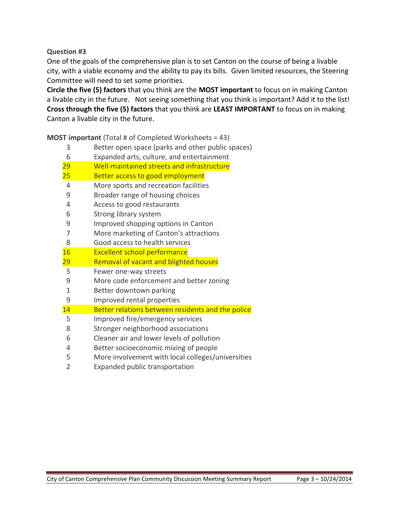**Question #3**

One of the goals of the comprehensive plan is to set Canton on the course of being a livable city, with a viable economy and the ability to pay its bills. Given limited resources, the Steering Committee will need to set some priorities.

**Circle the five (5) factors** that you think are the **MOST important** to focus on in making Canton a livable city in the future. Not seeing something that you think is important? Add it to the list! **Cross through the five (5) factors** that you think are **LEAST IMPORTANT** to focus on in making Canton a livable city in the future.

**MOST important** (Total # of Completed Worksheets = 43)

| 3              | Better open space (parks and other public spaces) |
|----------------|---------------------------------------------------|
| 6              | Expanded arts, culture, and entertainment         |
| 29             | Well-maintained streets and infrastructure        |
| 25             | Better access to good employment                  |
| $\overline{4}$ | More sports and recreation facilities             |
| 9              | Broader range of housing choices                  |
| 4              | Access to good restaurants                        |
| 6              | Strong library system                             |
| 9              | Improved shopping options in Canton               |
| 7              | More marketing of Canton's attractions            |
| 8              | Good access to health services                    |
| 16             | <b>Excellent school performance</b>               |
| <u> 29</u>     | Removal of vacant and blighted houses             |
| 5              | Fewer one-way streets                             |
| 9              | More code enforcement and better zoning           |
| $\mathbf{1}$   | Better downtown parking                           |
| 9              | Improved rental properties                        |
| 14             | Better relations between residents and the police |
| 5              | Improved fire/emergency services                  |
| 8              | Stronger neighborhood associations                |
| 6              | Cleaner air and lower levels of pollution         |
| 4              | Better socioeconomic mixing of people             |
| 5              | More involvement with local colleges/universities |

Expanded public transportation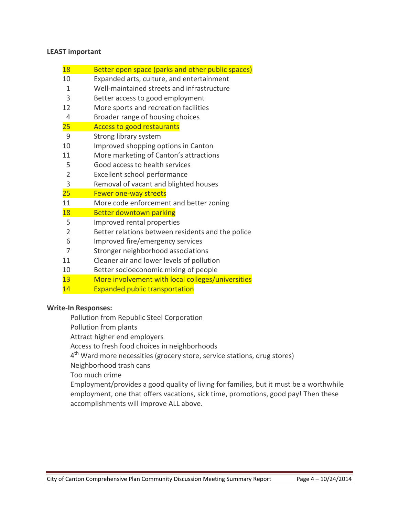#### **LEAST important**

| 18             | Better open space (parks and other public spaces) |  |
|----------------|---------------------------------------------------|--|
| 10             | Expanded arts, culture, and entertainment         |  |
| 1              | Well-maintained streets and infrastructure        |  |
| 3              | Better access to good employment                  |  |
| 12             | More sports and recreation facilities             |  |
| 4              | Broader range of housing choices                  |  |
| 25             | <b>Access to good restaurants</b>                 |  |
| 9              | Strong library system                             |  |
| 10             | Improved shopping options in Canton               |  |
| 11             | More marketing of Canton's attractions            |  |
| 5              | Good access to health services                    |  |
| $\overline{2}$ | Excellent school performance                      |  |
| 3              | Removal of vacant and blighted houses             |  |
| 25             | Fewer one-way streets                             |  |
| 11             | More code enforcement and better zoning           |  |
| 18             | <b>Better downtown parking</b>                    |  |
| 5              | Improved rental properties                        |  |
| $\overline{2}$ | Better relations between residents and the police |  |
| 6              | Improved fire/emergency services                  |  |
| 7              | Stronger neighborhood associations                |  |
| 11             | Cleaner air and lower levels of pollution         |  |
| 10             | Better socioeconomic mixing of people             |  |
| 13             | More involvement with local colleges/universities |  |

Expanded public transportation

#### **Write-In Responses:**

Pollution from Republic Steel Corporation

Pollution from plants

Attract higher end employers

Access to fresh food choices in neighborhoods

4<sup>th</sup> Ward more necessities (grocery store, service stations, drug stores)

Neighborhood trash cans

Too much crime

Employment/provides a good quality of living for families, but it must be a worthwhile employment, one that offers vacations, sick time, promotions, good pay! Then these accomplishments will improve ALL above.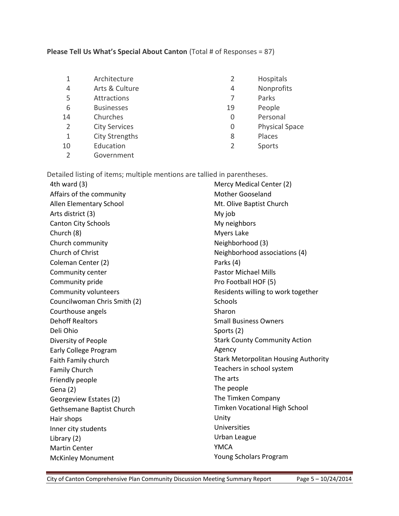### **Please Tell Us What's Special About Canton** (Total # of Responses = 87)

|    | Architecture          | $\overline{2}$ | Hospitals             |
|----|-----------------------|----------------|-----------------------|
| 4  | Arts & Culture        | 4              | Nonprofits            |
| 5  | Attractions           |                | Parks                 |
| 6  | <b>Businesses</b>     | 19             | People                |
| 14 | Churches              | 0              | Personal              |
| 2  | <b>City Services</b>  | 0              | <b>Physical Space</b> |
|    | <b>City Strengths</b> | 8              | Places                |
| 10 | Education             | 2              | Sports                |
|    | Government            |                |                       |

Detailed listing of items; multiple mentions are tallied in parentheses.<br>Ath ward (2)

| 4th ward $(3)$               | Mercy Medical Center (2)                    |  |
|------------------------------|---------------------------------------------|--|
| Affairs of the community     | <b>Mother Gooseland</b>                     |  |
| Allen Elementary School      | Mt. Olive Baptist Church                    |  |
| Arts district (3)            | My job                                      |  |
| <b>Canton City Schools</b>   | My neighbors                                |  |
| Church (8)                   | Myers Lake                                  |  |
| Church community             | Neighborhood (3)                            |  |
| Church of Christ             | Neighborhood associations (4)               |  |
| Coleman Center (2)           | Parks (4)                                   |  |
| Community center             | <b>Pastor Michael Mills</b>                 |  |
| Community pride              | Pro Football HOF (5)                        |  |
| Community volunteers         | Residents willing to work together          |  |
| Councilwoman Chris Smith (2) | <b>Schools</b>                              |  |
| Courthouse angels            | Sharon                                      |  |
| <b>Dehoff Realtors</b>       | <b>Small Business Owners</b>                |  |
| Deli Ohio                    | Sports (2)                                  |  |
| Diversity of People          | <b>Stark County Community Action</b>        |  |
| <b>Early College Program</b> | Agency                                      |  |
| Faith Family church          | <b>Stark Metorpolitan Housing Authority</b> |  |
| <b>Family Church</b>         | Teachers in school system                   |  |
| Friendly people              | The arts                                    |  |
| Gena (2)                     | The people                                  |  |
| Georgeview Estates (2)       | The Timken Company                          |  |
| Gethsemane Baptist Church    | Timken Vocational High School               |  |
| Hair shops                   | Unity                                       |  |
| Inner city students          | Universities                                |  |
| Library (2)                  | Urban League                                |  |
| <b>Martin Center</b>         | <b>YMCA</b>                                 |  |
| <b>McKinley Monument</b>     | Young Scholars Program                      |  |